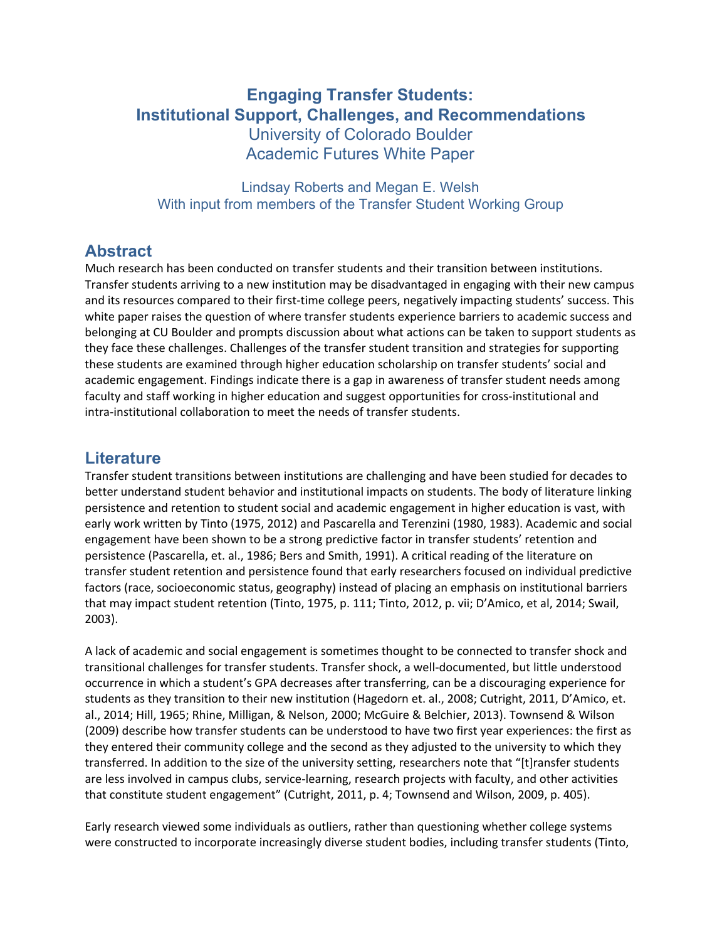# **Engaging Transfer Students: Institutional Support, Challenges, and Recommendations**

 University of Colorado Boulder Academic Futures White Paper

 Lindsay Roberts and Megan E. Welsh With input from members of the Transfer Student Working Group

## **Abstract**

 Much research has been conducted on transfer students and their transition between institutions. Transfer students arriving to a new institution may be disadvantaged in engaging with their new campus and its resources compared to their first-time college peers, negatively impacting students' success. This white paper raises the question of where transfer students experience barriers to academic success and belonging at CU Boulder and prompts discussion about what actions can be taken to support students as they face these challenges. Challenges of the transfer student transition and strategies for supporting these students are examined through higher education scholarship on transfer students' social and academic engagement. Findings indicate there is a gap in awareness of transfer student needs among faculty and staff working in higher education and suggest opportunities for cross-institutional and intra-institutional collaboration to meet the needs of transfer students.

#### **Literature**

 Transfer student transitions between institutions are challenging and have been studied for decades to better understand student behavior and institutional impacts on students. The body of literature linking persistence and retention to student social and academic engagement in higher education is vast, with early work written by Tinto (1975, 2012) and Pascarella and Terenzini (1980, 1983). Academic and social engagement have been shown to be a strong predictive factor in transfer students' retention and persistence (Pascarella, et. al., 1986; Bers and Smith, 1991). A critical reading of the literature on transfer student retention and persistence found that early researchers focused on individual predictive factors (race, socioeconomic status, geography) instead of placing an emphasis on institutional barriers that may impact student retention (Tinto, 1975, p. 111; Tinto, 2012, p. vii; D'Amico, et al, 2014; Swail, 2003).

 A lack of academic and social engagement is sometimes thought to be connected to transfer shock and transitional challenges for transfer students. Transfer shock, a well-documented, but little understood occurrence in which a student's GPA decreases after transferring, can be a discouraging experience for students as they transition to their new institution (Hagedorn et. al., 2008; Cutright, 2011, D'Amico, et. al., 2014; Hill, 1965; Rhine, Milligan, & Nelson, 2000; McGuire & Belchier, 2013). Townsend & Wilson (2009) describe how transfer students can be understood to have two first year experiences: the first as they entered their community college and the second as they adjusted to the university to which they transferred. In addition to the size of the university setting, researchers note that "[t]ransfer students are less involved in campus clubs, service-learning, research projects with faculty, and other activities that constitute student engagement" (Cutright, 2011, p. 4; Townsend and Wilson, 2009, p. 405).

 Early research viewed some individuals as outliers, rather than questioning whether college systems were constructed to incorporate increasingly diverse student bodies, including transfer students (Tinto,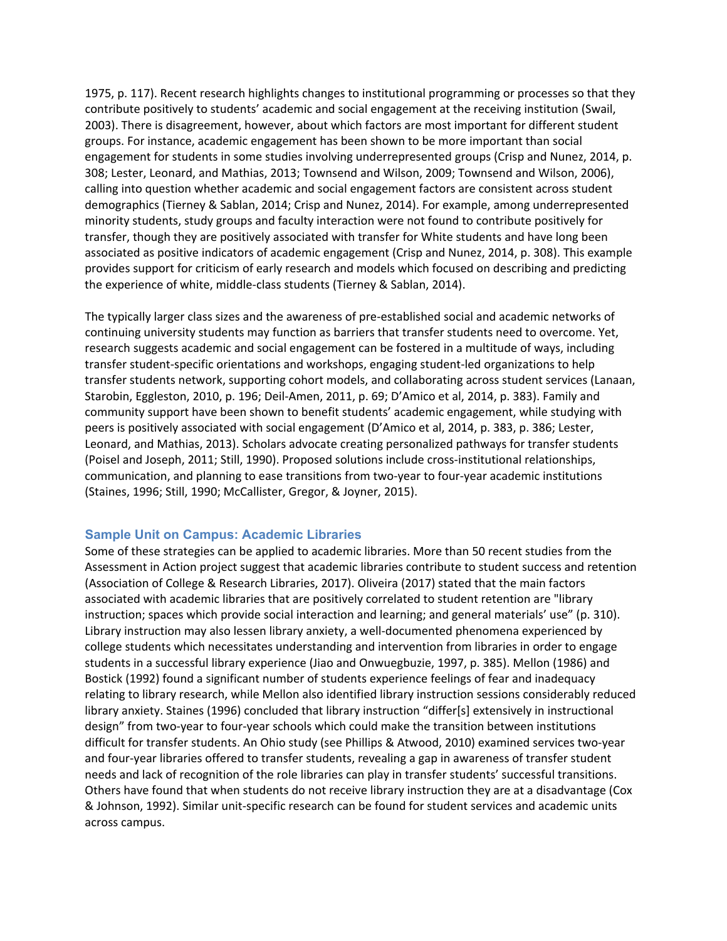1975, p. 117). Recent research highlights changes to institutional programming or processes so that they contribute positively to students' academic and social engagement at the receiving institution (Swail, 2003). There is disagreement, however, about which factors are most important for different student groups. For instance, academic engagement has been shown to be more important than social engagement for students in some studies involving underrepresented groups (Crisp and Nunez, 2014, p. 308; Lester, Leonard, and Mathias, 2013; Townsend and Wilson, 2009; Townsend and Wilson, 2006), calling into question whether academic and social engagement factors are consistent across student demographics (Tierney & Sablan, 2014; Crisp and Nunez, 2014). For example, among underrepresented minority students, study groups and faculty interaction were not found to contribute positively for transfer, though they are positively associated with transfer for White students and have long been associated as positive indicators of academic engagement (Crisp and Nunez, 2014, p. 308). This example provides support for criticism of early research and models which focused on describing and predicting the experience of white, middle-class students (Tierney & Sablan, 2014).

 The typically larger class sizes and the awareness of pre-established social and academic networks of continuing university students may function as barriers that transfer students need to overcome. Yet, research suggests academic and social engagement can be fostered in a multitude of ways, including transfer student-specific orientations and workshops, engaging student-led organizations to help transfer students network, supporting cohort models, and collaborating across student services (Lanaan, Starobin, Eggleston, 2010, p. 196; Deil-Amen, 2011, p. 69; D'Amico et al, 2014, p. 383). Family and community support have been shown to benefit students' academic engagement, while studying with peers is positively associated with social engagement (D'Amico et al, 2014, p. 383, p. 386; Lester, Leonard, and Mathias, 2013). Scholars advocate creating personalized pathways for transfer students (Poisel and Joseph, 2011; Still, 1990). Proposed solutions include cross-institutional relationships, communication, and planning to ease transitions from two-year to four-year academic institutions (Staines, 1996; Still, 1990; McCallister, Gregor, & Joyner, 2015).

#### **Sample Unit on Campus: Academic Libraries**

 Some of these strategies can be applied to academic libraries. More than 50 recent studies from the Assessment in Action project suggest that academic libraries contribute to student success and retention (Association of College & Research Libraries, 2017). Oliveira (2017) stated that the main factors associated with academic libraries that are positively correlated to student retention are "library instruction; spaces which provide social interaction and learning; and general materials' use" (p. 310). Library instruction may also lessen library anxiety, a well-documented phenomena experienced by college students which necessitates understanding and intervention from libraries in order to engage students in a successful library experience (Jiao and Onwuegbuzie, 1997, p. 385). Mellon (1986) and Bostick (1992) found a significant number of students experience feelings of fear and inadequacy relating to library research, while Mellon also identified library instruction sessions considerably reduced library anxiety. Staines (1996) concluded that library instruction "differ[s] extensively in instructional design" from two-year to four-year schools which could make the transition between institutions difficult for transfer students. An Ohio study (see Phillips & Atwood, 2010) examined services two-year and four-year libraries offered to transfer students, revealing a gap in awareness of transfer student needs and lack of recognition of the role libraries can play in transfer students' successful transitions. Others have found that when students do not receive library instruction they are at a disadvantage (Cox & Johnson, 1992). Similar unit-specific research can be found for student services and academic units across campus.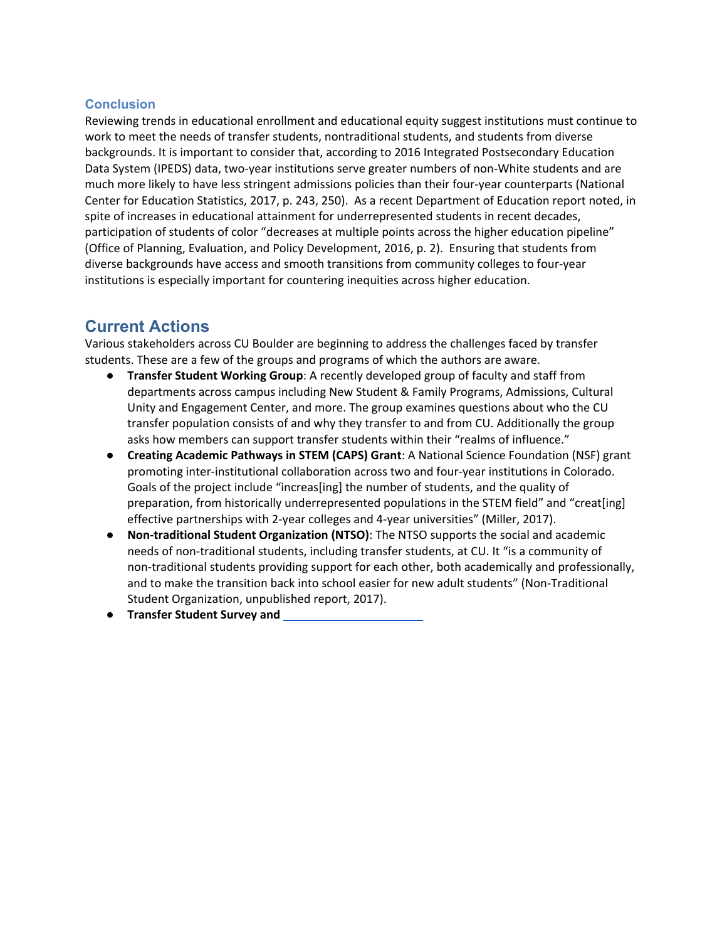#### **Conclusion**

 Reviewing trends in educational enrollment and educational equity suggest institutions must continue to work to meet the needs of transfer students, nontraditional students, and students from diverse backgrounds. It is important to consider that, according to 2016 Integrated Postsecondary Education Data System (IPEDS) data, two-year institutions serve greater numbers of non-White students and are much more likely to have less stringent admissions policies than their four-year counterparts (National Center for Education Statistics, 2017, p. 243, 250). As a recent Department of Education report noted, in spite of increases in educational attainment for underrepresented students in recent decades, participation of students of color "decreases at multiple points across the higher education pipeline" (Office of Planning, Evaluation, and Policy Development, 2016, p. 2). Ensuring that students from diverse backgrounds have access and smooth transitions from community colleges to four-year institutions is especially important for countering inequities across higher education.

### **Current Actions**

 Various stakeholders across CU Boulder are beginning to address the challenges faced by transfer students. These are a few of the groups and programs of which the authors are aware.

- ● **Transfer Student Working Group**: A recently developed group of faculty and staff from departments across campus including New Student & Family Programs, Admissions, Cultural Unity and Engagement Center, and more. The group examines questions about who the CU transfer population consists of and why they transfer to and from CU. Additionally the group asks how members can support transfer students within their "realms of influence."
- **● Creating Academic Pathways in STEM (CAPS) Grant**: A National Science Foundation (NSF) grant promoting inter-institutional collaboration across two and four-year institutions in Colorado. Goals of the project include "increas[ing] the number of students, and the quality of preparation, from historically underrepresented populations in the STEM field" and "creat[ing] effective partnerships with 2-year colleges and 4-year universities" (Miller, 2017).
- **● Non-traditional Student Organization (NTSO)**: The NTSO supports the social and academic needs of non-traditional students, including transfer students, at CU. It "is a community of non-traditional students providing support for each other, both academically and professionally, and to make the transition back into school easier for new adult students" (Non-Traditional Student Organization, unpublished report, 2017).
- **● Transfer Student Survey and**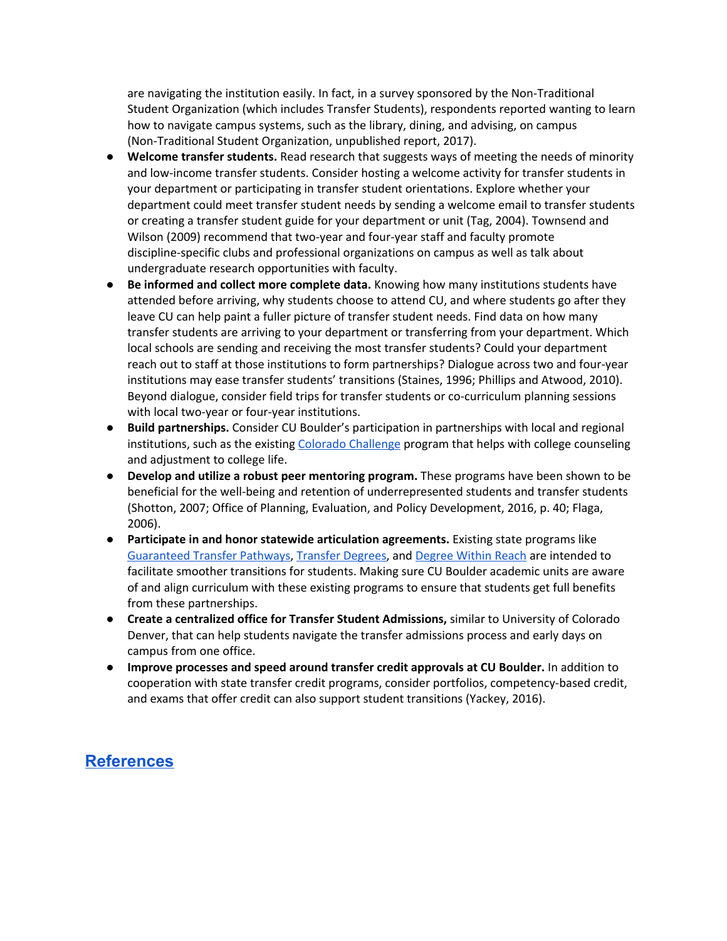are navigating the institution easily. In fact, in a survey sponsored by the Non-Traditional Student Organization (which includes Transfer Students), respondents reported wanting to learn how to navigate campus systems, such as the library, dining, and advising, on campus (Non-Traditional Student Organization, unpublished report, 2017).

- **● Welcome transfer students.** Read research that suggests ways of meeting the needs of minority and low-income transfer students. Consider hosting a welcome activity for transfer students in your department or participating in transfer student orientations. Explore whether your department could meet transfer student needs by sending a welcome email to transfer students or creating a transfer student guide for your department or unit (Tag, 2004). Townsend and Wilson (2009) recommend that two-year and four-year staff and faculty promote discipline-specific clubs and professional organizations on campus as well as talk about undergraduate research opportunities with faculty.
- **● Be informed and collect more complete data.** Knowing how many institutions students have attended before arriving, why students choose to attend CU, and where students go after they leave CU can help paint a fuller picture of transfer student needs. Find data on how many transfer students are arriving to your department or transferring from your department. Which local schools are sending and receiving the most transfer students? Could your department reach out to staff at those institutions to form partnerships? Dialogue across two and four-year institutions may ease transfer students' transitions (Staines, 1996; Phillips and Atwood, 2010). Beyond dialogue, consider field trips for transfer students or co-curriculum planning sessions with local two-year or four-year institutions.
- **● Build partnerships.** Consider CU Boulder's participation in partnerships with local and regional institutions, such as the existing Colorado [Challenge](https://highered.colorado.gov/cochallenge/whatwedo.html) program that helps with college counseling and adjustment to college life.
- **● Develop and utilize a robust peer mentoring program.** These programs have been shown to be beneficial for the well-being and retention of underrepresented students and transfer students (Shotton, 2007; Office of Planning, Evaluation, and Policy Development, 2016, p. 40; Flaga, 2006).
- **• Participate in and honor statewide articulation agreements. Existing state programs like** [Guaranteed](https://highered.colorado.gov/academics/transfers/gtpathways/curriculum.html) Transfer Pathways, [Transfer](https://highered.colorado.gov/academics/transfers/TransferDegrees.html) Degrees, and [Degree](https://degreewithinreach.wordpress.com/) Within Reach are intended to facilitate smoother transitions for students. Making sure CU Boulder academic units are aware of and align curriculum with these existing programs to ensure that students get full benefits from these partnerships.
- **● Create a centralized office for Transfer Student Admissions,** similar to University of Colorado Denver, that can help students navigate the transfer admissions process and early days on campus from one office.
- **● Improve processes and speed around transfer credit approvals at CU Boulder.** In addition to cooperation with state transfer credit programs, consider portfolios, competency-based credit, and exams that offer credit can also support student transitions (Yackey, 2016).

# **[References](https://docs.google.com/document/d/1CG4Cr0AQFiV8VPonsccjk6DdrlH9IK5J42v4A6806fQ/edit?usp=sharing)**